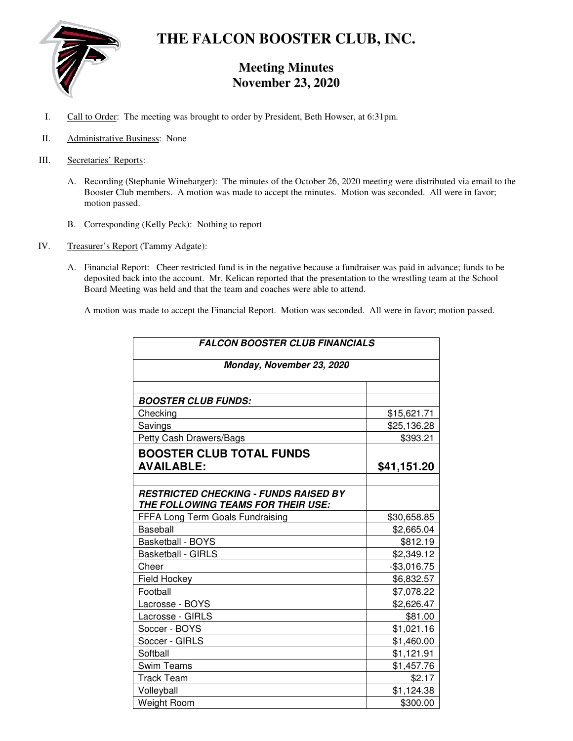

# **THE FALCON BOOSTER CLUB, INC.**

# **Meeting Minutes November 23, 2020**

- I. Call to Order: The meeting was brought to order by President, Beth Howser, at 6:31pm.
- II. Administrative Business: None
- III. Secretaries' Reports:
	- A. Recording (Stephanie Winebarger): The minutes of the October 26, 2020 meeting were distributed via email to the Booster Club members. A motion was made to accept the minutes. Motion was seconded. All were in favor; motion passed.
	- B. Corresponding (Kelly Peck): Nothing to report
- IV. Treasurer's Report (Tammy Adgate):
	- A. Financial Report: Cheer restricted fund is in the negative because a fundraiser was paid in advance; funds to be deposited back into the account. Mr. Kelican reported that the presentation to the wrestling team at the School Board Meeting was held and that the team and coaches were able to attend.

A motion was made to accept the Financial Report. Motion was seconded. All were in favor; motion passed.

| <b>FALCON BOOSTER CLUB FINANCIALS</b><br>Monday, November 23, 2020                 |              |
|------------------------------------------------------------------------------------|--------------|
|                                                                                    |              |
| <b>BOOSTER CLUB FUNDS:</b>                                                         |              |
| Checking                                                                           | \$15,621.71  |
| Savings                                                                            | \$25,136.28  |
| Petty Cash Drawers/Bags                                                            | \$393.21     |
| <b>BOOSTER CLUB TOTAL FUNDS</b>                                                    |              |
| <b>AVAILABLE:</b>                                                                  | \$41,151.20  |
|                                                                                    |              |
| <b>RESTRICTED CHECKING - FUNDS RAISED BY</b><br>THE FOLLOWING TEAMS FOR THEIR USE: |              |
| FFFA Long Term Goals Fundraising                                                   | \$30,658.85  |
| <b>Baseball</b>                                                                    | \$2,665.04   |
| <b>Basketball - BOYS</b>                                                           | \$812.19     |
| <b>Basketball - GIRLS</b>                                                          | \$2,349.12   |
| Cheer                                                                              | $-$3,016.75$ |
| <b>Field Hockey</b>                                                                | \$6,832.57   |
| Football                                                                           | \$7,078.22   |
| Lacrosse - BOYS                                                                    | \$2,626.47   |
| Lacrosse - GIRLS                                                                   | \$81.00      |
| Soccer - BOYS                                                                      | \$1,021.16   |
| Soccer - GIRLS                                                                     | \$1,460.00   |
| Softball                                                                           | \$1,121.91   |
| <b>Swim Teams</b>                                                                  | \$1,457.76   |
| <b>Track Team</b>                                                                  | \$2.17       |
| Volleyball                                                                         | \$1,124.38   |
| <b>Weight Room</b>                                                                 | \$300.00     |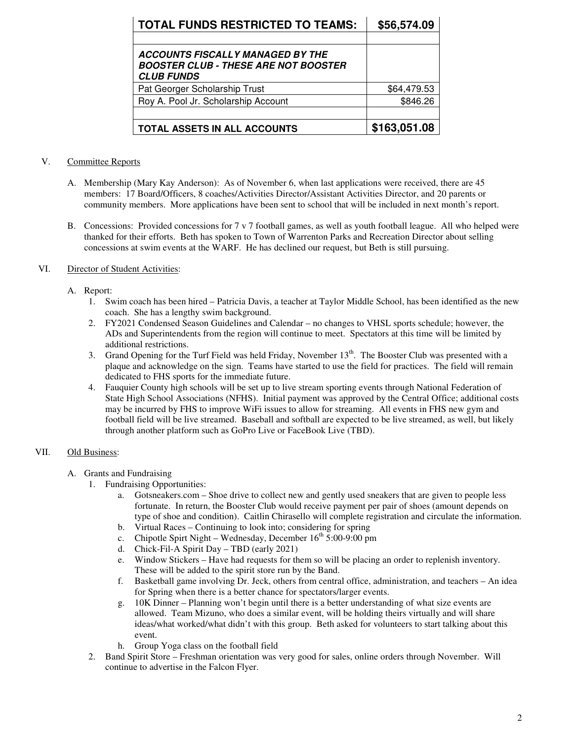| <b>TOTAL FUNDS RESTRICTED TO TEAMS:</b>                                                                     | \$56,574.09  |
|-------------------------------------------------------------------------------------------------------------|--------------|
|                                                                                                             |              |
| <b>ACCOUNTS FISCALLY MANAGED BY THE</b><br><b>BOOSTER CLUB - THESE ARE NOT BOOSTER</b><br><b>CLUB FUNDS</b> |              |
| Pat Georger Scholarship Trust                                                                               | \$64,479.53  |
| Roy A. Pool Jr. Scholarship Account                                                                         | \$846.26     |
|                                                                                                             |              |
| TOTAL ASSETS IN ALL ACCOUNTS                                                                                | \$163,051.08 |

#### V. Committee Reports

- A. Membership (Mary Kay Anderson): As of November 6, when last applications were received, there are 45 members: 17 Board/Officers, 8 coaches/Activities Director/Assistant Activities Director, and 20 parents or community members. More applications have been sent to school that will be included in next month's report.
- B. Concessions: Provided concessions for 7 v 7 football games, as well as youth football league. All who helped were thanked for their efforts. Beth has spoken to Town of Warrenton Parks and Recreation Director about selling concessions at swim events at the WARF. He has declined our request, but Beth is still pursuing.

# VI. Director of Student Activities:

### A. Report:

- 1. Swim coach has been hired Patricia Davis, a teacher at Taylor Middle School, has been identified as the new coach. She has a lengthy swim background.
- 2. FY2021 Condensed Season Guidelines and Calendar no changes to VHSL sports schedule; however, the ADs and Superintendents from the region will continue to meet. Spectators at this time will be limited by additional restrictions.
- 3. Grand Opening for the Turf Field was held Friday, November 13<sup>th</sup>. The Booster Club was presented with a plaque and acknowledge on the sign. Teams have started to use the field for practices. The field will remain dedicated to FHS sports for the immediate future.
- 4. Fauquier County high schools will be set up to live stream sporting events through National Federation of State High School Associations (NFHS). Initial payment was approved by the Central Office; additional costs may be incurred by FHS to improve WiFi issues to allow for streaming. All events in FHS new gym and football field will be live streamed. Baseball and softball are expected to be live streamed, as well, but likely through another platform such as GoPro Live or FaceBook Live (TBD).

# VII. Old Business:

- A. Grants and Fundraising
	- 1. Fundraising Opportunities:
		- a. Gotsneakers.com Shoe drive to collect new and gently used sneakers that are given to people less fortunate. In return, the Booster Club would receive payment per pair of shoes (amount depends on type of shoe and condition). Caitlin Chirasello will complete registration and circulate the information.
		- b. Virtual Races Continuing to look into; considering for spring
		- c. Chipotle Spirt Night Wednesday, December  $16<sup>th</sup> 5:00-9:00$  pm
		- d. Chick-Fil-A Spirit Day TBD (early 2021)
		- e. Window Stickers Have had requests for them so will be placing an order to replenish inventory. These will be added to the spirit store run by the Band.
		- f. Basketball game involving Dr. Jeck, others from central office, administration, and teachers An idea for Spring when there is a better chance for spectators/larger events.
		- g. 10K Dinner Planning won't begin until there is a better understanding of what size events are allowed. Team Mizuno, who does a similar event, will be holding theirs virtually and will share ideas/what worked/what didn't with this group. Beth asked for volunteers to start talking about this event.
		- h. Group Yoga class on the football field
	- 2. Band Spirit Store Freshman orientation was very good for sales, online orders through November. Will continue to advertise in the Falcon Flyer.